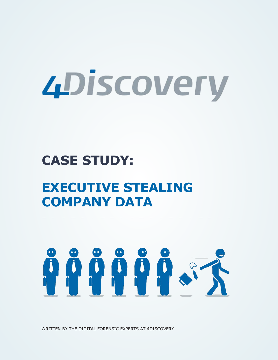# *4Discovery*

# **CASE STUDY:**

# **EXECUTIVE STEALING COMPANY DATA**

# **ÖÖÖÖÖSS**

WRITTEN BY THE DIGITAL FORENSIC EXPERTS AT 4DISCOVERY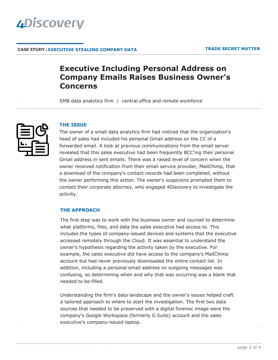

### **CASE STUDY : EXECUTIVE STEALING COMPANY DATA**

# **Executive Including Personal Address on Company Emails Raises Business Owner's Concerns**

SMB data analytics firm / central office and remote workforce



### **THE ISSUE**

The owner of a small data analytics firm had noticed that the organization's head of sales had included his personal Gmail address on the CC of a forwarded email. A look at previous communications from the email server revealed that this sales executive had been frequently BCC'ing their personal Gmail address in sent emails. There was a raised level of concern when the owner received notification from their email service provider, MailChimp, that a download of the company's contact records had been completed, without the owner performing this action. The owner's suspicions prompted them to contact their corporate attorney, who engaged 4Discovery to investigate the activity.

### **THE APPROACH**

The first step was to work with the business owner and counsel to determine what platforms, files, and data the sales executive had access to. This includes the types of company-issued devices and systems that the executive accessed remotely through the Cloud. It was essential to understand the owner's hypothesis regarding the activity taken by the executive. For example, the sales executive did have access to the company's MailChimp account but had never previously downloaded the entire contact list. In addition, including a personal email address on outgoing messages was confusing, so determining when and why that was occurring was a blank that needed to be filled.

Understanding the firm's data landscape and the owner's issues helped craft a tailored approach to where to start the investigation. The first two data sources that needed to be preserved with a digital forensic image were the company's Google Workspace (formerly G Suite) account and the sales executive's company-issued laptop.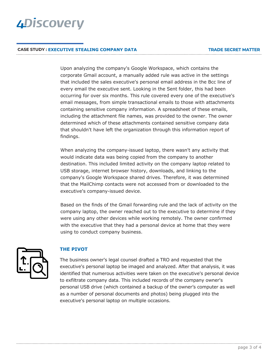# **4Discovery**

### **CASE STUDY : EXECUTIVE STEALING COMPANY DATA**

Upon analyzing the company's Google Workspace, which contains the corporate Gmail account, a manually added rule was active in the settings that included the sales executive's personal email address in the Bcc line of every email the executive sent. Looking in the Sent folder, this had been occurring for over six months. This rule covered every one of the executive's email messages, from simple transactional emails to those with attachments containing sensitive company information. A spreadsheet of these emails, including the attachment file names, was provided to the owner. The owner determined which of these attachments contained sensitive company data that shouldn't have left the organization through this information report of findings.

When analyzing the company-issued laptop, there wasn't any activity that would indicate data was being copied from the company to another destination. This included limited activity on the company laptop related to USB storage, internet browser history, downloads, and linking to the company's Google Workspace shared drives. Therefore, it was determined that the MailChimp contacts were not accessed from or downloaded to the executive's company-issued device.

Based on the finds of the Gmail forwarding rule and the lack of activity on the company laptop, the owner reached out to the executive to determine if they were using any other devices while working remotely. The owner confirmed with the executive that they had a personal device at home that they were using to conduct company business.



# **THE PIVOT**

The business owner's legal counsel drafted a TRO and requested that the executive's personal laptop be imaged and analyzed. After that analysis, it was identified that numerous activities were taken on the executive's personal device to exfiltrate company data. This included records of the company owner's personal USB drive (which contained a backup of the owner's computer as well as a number of personal documents and photos) being plugged into the executive's personal laptop on multiple occasions.